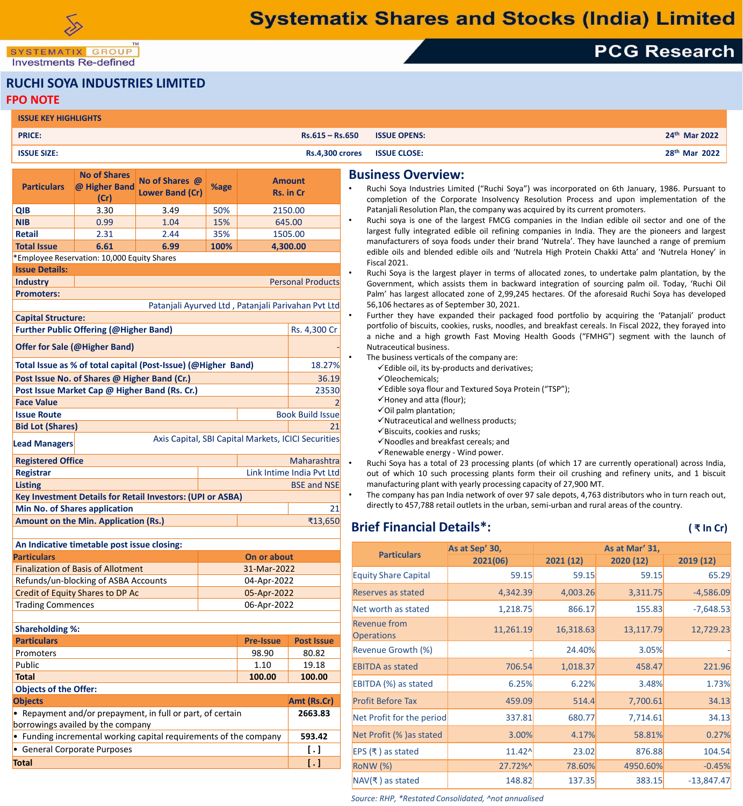SYSTEMATIX GROUP **Investments Re-defined** 

#### **RUCHI SOYA INDUSTRIES LIMITED FPO NOTE**

| <b>ISSUE KEY HIGHLIGHTS</b> |                        |                     |                           |
|-----------------------------|------------------------|---------------------|---------------------------|
| <b>PRICE:</b>               | $Rs.615 - Rs.650$      | <b>ISSUE OPENS:</b> | 24 <sup>th</sup> Mar 2022 |
| <b>ISSUE SIZE:</b>          | <b>Rs.4,300 crores</b> | <b>ISSUE CLOSE:</b> | 28 <sup>th</sup> Mar 2022 |

| <b>Particulars</b>                                                          | <b>No of Shares</b><br>@ Higher Band<br>(Cr)           | No of Shares @<br><b>Lower Band (Cr)</b>           | %age |         | <b>Amount</b><br>Rs. in Cr |  |
|-----------------------------------------------------------------------------|--------------------------------------------------------|----------------------------------------------------|------|---------|----------------------------|--|
| <b>QIB</b>                                                                  | 3.30                                                   | 3.49                                               | 50%  | 2150.00 |                            |  |
| <b>NIB</b>                                                                  | 0.99                                                   | 15%<br>645.00<br>1.04                              |      |         |                            |  |
| <b>Retail</b>                                                               | 2.31                                                   | 2.44                                               | 35%  |         | 1505.00                    |  |
| <b>Total Issue</b>                                                          | 6.61                                                   | 6.99                                               | 100% |         | 4,300.00                   |  |
|                                                                             | *Employee Reservation: 10,000 Equity Shares            |                                                    |      |         |                            |  |
| <b>Issue Details:</b>                                                       |                                                        |                                                    |      |         |                            |  |
| <b>Industry</b>                                                             |                                                        |                                                    |      |         | <b>Personal Products</b>   |  |
| <b>Promoters:</b>                                                           |                                                        |                                                    |      |         |                            |  |
|                                                                             |                                                        | Patanjali Ayurved Ltd, Patanjali Parivahan Pvt Ltd |      |         |                            |  |
| <b>Capital Structure:</b>                                                   |                                                        |                                                    |      |         |                            |  |
|                                                                             | <b>Further Public Offering (@Higher Band)</b>          |                                                    |      |         | Rs. 4,300 Cr               |  |
| <b>Offer for Sale (@Higher Band)</b>                                        |                                                        |                                                    |      |         |                            |  |
| Total Issue as % of total capital (Post-Issue) (@Higher Band)<br>18.27%     |                                                        |                                                    |      |         |                            |  |
| Post Issue No. of Shares @ Higher Band (Cr.)<br>36.19                       |                                                        |                                                    |      |         |                            |  |
| Post Issue Market Cap @ Higher Band (Rs. Cr.)<br>23530                      |                                                        |                                                    |      |         |                            |  |
| <b>Face Value</b>                                                           |                                                        |                                                    |      |         |                            |  |
| <b>Issue Route</b>                                                          |                                                        |                                                    |      |         | <b>Book Build Issue</b>    |  |
| <b>Bid Lot (Shares)</b><br>21                                               |                                                        |                                                    |      |         |                            |  |
| Axis Capital, SBI Capital Markets, ICICI Securities<br><b>Lead Managers</b> |                                                        |                                                    |      |         |                            |  |
| Maharashtra<br><b>Registered Office</b>                                     |                                                        |                                                    |      |         |                            |  |
| Link Intime India Pvt Ltd<br><b>Registrar</b>                               |                                                        |                                                    |      |         |                            |  |
| <b>Listing</b><br><b>BSE and NSE</b>                                        |                                                        |                                                    |      |         |                            |  |
| <b>Key Investment Details for Retail Investors: (UPI or ASBA)</b>           |                                                        |                                                    |      |         |                            |  |
|                                                                             | <b>Min No. of Shares application</b>                   |                                                    |      |         | 21                         |  |
|                                                                             | <b>Amount on the Min. Application (Rs.)</b><br>₹13,650 |                                                    |      |         |                            |  |

| An Indicative timetable post issue closing: |             |  |  |  |  |
|---------------------------------------------|-------------|--|--|--|--|
| <b>Particulars</b>                          | On or about |  |  |  |  |
| <b>Finalization of Basis of Allotment</b>   | 31-Mar-2022 |  |  |  |  |
| Refunds/un-blocking of ASBA Accounts        | 04-Apr-2022 |  |  |  |  |
| Credit of Equity Shares to DP Ac            | 05-Apr-2022 |  |  |  |  |
| <b>Trading Commences</b>                    | 06-Apr-2022 |  |  |  |  |
|                                             |             |  |  |  |  |

| <b>Shareholding %:</b>                                            |                    |                   |
|-------------------------------------------------------------------|--------------------|-------------------|
| <b>Particulars</b>                                                | <b>Pre-Issue</b>   | <b>Post Issue</b> |
| Promoters                                                         | 98.90              | 80.82             |
| Public                                                            | 1.10               | 19.18             |
| <b>Total</b>                                                      | 100.00             | 100.00            |
| <b>Objects of the Offer:</b>                                      |                    |                   |
| <b>Objects</b>                                                    |                    | Amt (Rs.Cr)       |
| • Repayment and/or prepayment, in full or part, of certain        | 2663.83            |                   |
| borrowings availed by the company                                 |                    |                   |
| • Funding incremental working capital requirements of the company | 593.42             |                   |
| • General Corporate Purposes                                      | $\left[ . \right]$ |                   |
| <b>Total</b>                                                      |                    | $[ \, . \, ]$     |

#### **Business Overview:**

- Ruchi Soya Industries Limited ("Ruchi Soya") was incorporated on 6th January, 1986. Pursuant to completion of the Corporate Insolvency Resolution Process and upon implementation of the Patanjali Resolution Plan, the company was acquired by its current promoters.
- Ruchi soya is one of the largest FMCG companies in the Indian edible oil sector and one of the largest fully integrated edible oil refining companies in India. They are the pioneers and largest manufacturers of soya foods under their brand 'Nutrela'. They have launched a range of premium edible oils and blended edible oils and 'Nutrela High Protein Chakki Atta' and 'Nutrela Honey' in Fiscal 2021.
- Ruchi Soya is the largest player in terms of allocated zones, to undertake palm plantation, by the Government, which assists them in backward integration of sourcing palm oil. Today, 'Ruchi Oil Palm' has largest allocated zone of 2,99,245 hectares. Of the aforesaid Ruchi Soya has developed 56,106 hectares as of September 30, 2021.
- Further they have expanded their packaged food portfolio by acquiring the 'Patanjali' product portfolio of biscuits, cookies, rusks, noodles, and breakfast cereals. In Fiscal 2022, they forayed into a niche and a high growth Fast Moving Health Goods ("FMHG") segment with the launch of Nutraceutical business.

The business verticals of the company are:

- $\checkmark$  Edible oil, its by-products and derivatives;
- Oleochemicals;
- $\checkmark$  Edible soya flour and Textured Soya Protein ("TSP");
- $\checkmark$  Honey and atta (flour);
- $\checkmark$  Oil palm plantation;
- $\checkmark$  Nutraceutical and wellness products;
- $\checkmark$  Biscuits, cookies and rusks;
- $\checkmark$  Noodles and breakfast cereals; and
- $\checkmark$  Renewable energy Wind power.

• Ruchi Soya has a total of 23 processing plants (of which 17 are currently operational) across India, out of which 10 such processing plants form their oil crushing and refinery units, and 1 biscuit manufacturing plant with yearly processing capacity of 27,900 MT.

• The company has pan India network of over 97 sale depots, 4,763 distributors who in turn reach out, directly to 457,788 retail outlets in the urban, semi-urban and rural areas of the country.

## **Brief Financial Details\*: ( ₹ In Cr)**

**PCG Research** 

| <b>Particulars</b>                       | As at Sep' 30, |           |           |              |
|------------------------------------------|----------------|-----------|-----------|--------------|
|                                          | 2021(06)       | 2021 (12) | 2020 (12) | 2019 (12)    |
| <b>Equity Share Capital</b>              | 59.15          | 59.15     | 59.15     | 65.29        |
| Reserves as stated                       | 4,342.39       | 4,003.26  | 3,311.75  | $-4,586.09$  |
| Net worth as stated                      | 1,218.75       | 866.17    | 155.83    | $-7,648.53$  |
| <b>Revenue from</b><br><b>Operations</b> | 11,261.19      | 16,318.63 | 13,117.79 | 12,729.23    |
| Revenue Growth (%)                       |                | 24.40%    | 3.05%     |              |
| <b>EBITDA</b> as stated                  | 706.54         | 1,018.37  | 458.47    | 221.96       |
| EBITDA (%) as stated                     | 6.25%          | 6.22%     | 3.48%     | 1.73%        |
| <b>Profit Before Tax</b>                 | 459.09         | 514.4     | 7,700.61  | 34.13        |
| Net Profit for the period                | 337.81         | 680.77    | 7,714.61  | 34.13        |
| Net Profit (%) as stated                 | 3.00%          | 4.17%     | 58.81%    | 0.27%        |
| EPS $(\bar{x})$ as stated                | $11.42^$       | 23.02     | 876.88    | 104.54       |
| <b>RoNW</b> (%)                          | 27.72%^        | 78.60%    | 4950.60%  | $-0.45%$     |
| NAV(₹) as stated                         | 148.82         | 137.35    | 383.15    | $-13,847.47$ |

*Source: RHP, \*Restated Consolidated, ^not annualised*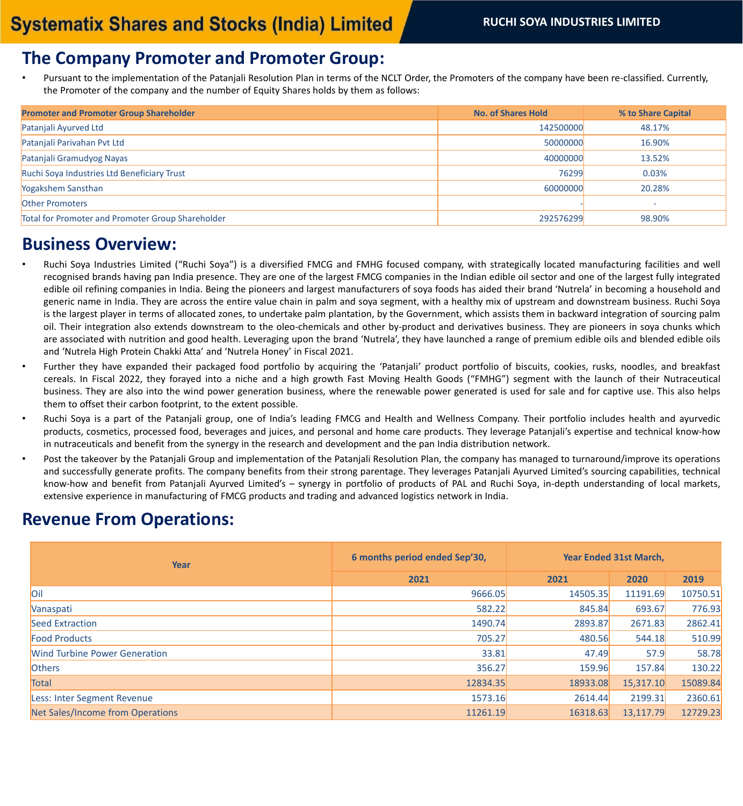### **The Company Promoter and Promoter Group:**

• Pursuant to the implementation of the Patanjali Resolution Plan in terms of the NCLT Order, the Promoters of the company have been re-classified. Currently, the Promoter of the company and the number of Equity Shares holds by them as follows:

| <b>Promoter and Promoter Group Shareholder</b>    | <b>No. of Shares Hold</b> | % to Share Capital |
|---------------------------------------------------|---------------------------|--------------------|
| Patanjali Ayurved Ltd                             | 142500000                 | 48.17%             |
| Patanjali Parivahan Pvt Ltd                       | 50000000                  | 16.90%             |
| Patanjali Gramudyog Nayas                         | 40000000                  | 13.52%             |
| Ruchi Soya Industries Ltd Beneficiary Trust       | 76299                     | 0.03%              |
| Yogakshem Sansthan                                | 60000000                  | 20.28%             |
| Other Promoters                                   |                           |                    |
| Total for Promoter and Promoter Group Shareholder | 292576299                 | 98.90%             |

#### **Business Overview:**

- Ruchi Soya Industries Limited ("Ruchi Soya") is a diversified FMCG and FMHG focused company, with strategically located manufacturing facilities and well recognised brands having pan India presence. They are one of the largest FMCG companies in the Indian edible oil sector and one of the largest fully integrated edible oil refining companies in India. Being the pioneers and largest manufacturers of soya foods has aided their brand 'Nutrela' in becoming a household and generic name in India. They are across the entire value chain in palm and soya segment, with a healthy mix of upstream and downstream business. Ruchi Soya is the largest player in terms of allocated zones, to undertake palm plantation, by the Government, which assists them in backward integration of sourcing palm oil. Their integration also extends downstream to the oleo-chemicals and other by-product and derivatives business. They are pioneers in soya chunks which are associated with nutrition and good health. Leveraging upon the brand 'Nutrela', they have launched a range of premium edible oils and blended edible oils and 'Nutrela High Protein Chakki Atta' and 'Nutrela Honey' in Fiscal 2021.
- Further they have expanded their packaged food portfolio by acquiring the 'Patanjali' product portfolio of biscuits, cookies, rusks, noodles, and breakfast cereals. In Fiscal 2022, they forayed into a niche and a high growth Fast Moving Health Goods ("FMHG") segment with the launch of their Nutraceutical business. They are also into the wind power generation business, where the renewable power generated is used for sale and for captive use. This also helps them to offset their carbon footprint, to the extent possible.
- Ruchi Soya is a part of the Patanjali group, one of India's leading FMCG and Health and Wellness Company. Their portfolio includes health and ayurvedic products, cosmetics, processed food, beverages and juices, and personal and home care products. They leverage Patanjali's expertise and technical know-how in nutraceuticals and benefit from the synergy in the research and development and the pan India distribution network.
- Post the takeover by the Patanjali Group and implementation of the Patanjali Resolution Plan, the company has managed to turnaround/improve its operations and successfully generate profits. The company benefits from their strong parentage. They leverages Patanjali Ayurved Limited's sourcing capabilities, technical know-how and benefit from Patanjali Ayurved Limited's – synergy in portfolio of products of PAL and Ruchi Soya, in-depth understanding of local markets, extensive experience in manufacturing of FMCG products and trading and advanced logistics network in India.

## **Revenue From Operations:**

| Year                                    | 6 months period ended Sep'30, | <b>Year Ended 31st March,</b> |           |          |
|-----------------------------------------|-------------------------------|-------------------------------|-----------|----------|
|                                         | 2021                          | 2021                          | 2020      | 2019     |
| Oil                                     | 9666.05                       | 14505.35                      | 11191.69  | 10750.51 |
| Vanaspati                               | 582.22                        | 845.84                        | 693.67    | 776.93   |
| Seed Extraction                         | 1490.74                       | 2893.87                       | 2671.83   | 2862.41  |
| <b>Food Products</b>                    | 705.27                        | 480.56                        | 544.18    | 510.99   |
| <b>Wind Turbine Power Generation</b>    | 33.81                         | 47.49                         | 57.9      | 58.78    |
| <b>Others</b>                           | 356.27                        | 159.96                        | 157.84    | 130.22   |
| <b>Total</b>                            | 12834.35                      | 18933.08                      | 15,317.10 | 15089.84 |
| Less: Inter Segment Revenue             | 1573.16                       | 2614.44                       | 2199.31   | 2360.61  |
| <b>Net Sales/Income from Operations</b> | 11261.19                      | 16318.63                      | 13,117.79 | 12729.23 |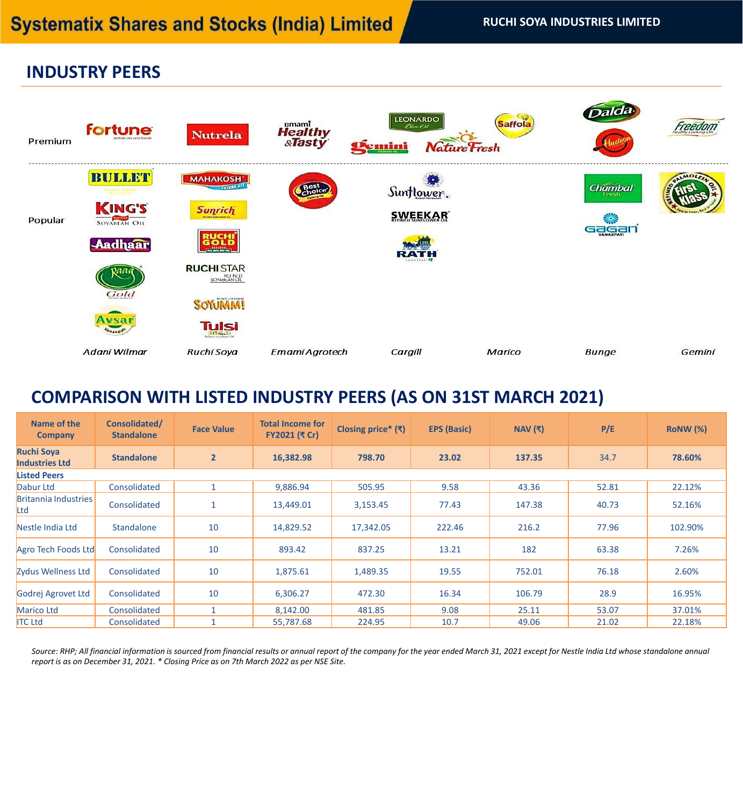# **INDUSTRY PEERS**



# **COMPARISON WITH LISTED INDUSTRY PEERS (AS ON 31ST MARCH 2021)**

| Name of the<br><b>Company</b>              | Consolidated/<br><b>Standalone</b> | <b>Face Value</b> | <b>Total Income for</b><br>FY2021 (₹ Cr) | Closing price* $(3)$ | <b>EPS (Basic)</b> | NAV $(3)$ | P/E   | <b>RONW (%)</b> |
|--------------------------------------------|------------------------------------|-------------------|------------------------------------------|----------------------|--------------------|-----------|-------|-----------------|
| <b>Ruchi Soya</b><br><b>Industries Ltd</b> | <b>Standalone</b>                  | $\overline{2}$    | 16,382.98                                | 798.70               | 23.02              | 137.35    | 34.7  | 78.60%          |
| <b>Listed Peers</b>                        |                                    |                   |                                          |                      |                    |           |       |                 |
| Dabur Ltd                                  | Consolidated                       | $\mathbf{1}$      | 9,886.94                                 | 505.95               | 9.58               | 43.36     | 52.81 | 22.12%          |
| <b>Britannia Industries</b><br>Ltd         | Consolidated                       | $\mathbf{1}$      | 13,449.01                                | 3,153.45             | 77.43              | 147.38    | 40.73 | 52.16%          |
| Nestle India Ltd                           | Standalone                         | 10                | 14,829.52                                | 17,342.05            | 222.46             | 216.2     | 77.96 | 102.90%         |
| Agro Tech Foods Ltd                        | Consolidated                       | 10                | 893.42                                   | 837.25               | 13.21              | 182       | 63.38 | 7.26%           |
| Zydus Wellness Ltd                         | Consolidated                       | 10                | 1,875.61                                 | 1,489.35             | 19.55              | 752.01    | 76.18 | 2.60%           |
| Godrej Agrovet Ltd                         | Consolidated                       | 10                | 6,306.27                                 | 472.30               | 16.34              | 106.79    | 28.9  | 16.95%          |
| Marico Ltd                                 | Consolidated                       | $\mathbf{1}$      | 8,142.00                                 | 481.85               | 9.08               | 25.11     | 53.07 | 37.01%          |
| <b>ITC Ltd</b>                             | Consolidated                       | 1                 | 55,787.68                                | 224.95               | 10.7               | 49.06     | 21.02 | 22.18%          |

*Source: RHP; All financial information is sourced from financial results or annual report of the company for the year ended March 31, 2021 except for Nestle India Ltd whose standalone annual report is as on December 31, 2021. \* Closing Price as on 7th March 2022 as per NSE Site.*